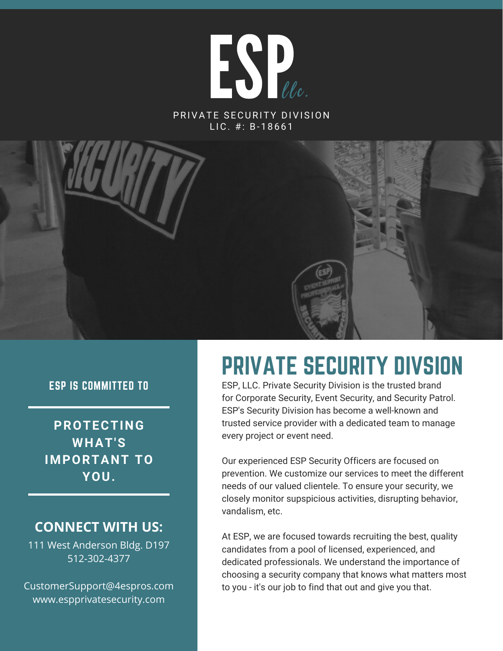

PRIVATE SECURITY DIVISION  $LIC.$ #: B-18661



#### ESP IS COMMITTED TO

**PROTECTING WHAT'S IMPORTANT TO YOU.**

### **CONNECT WITH US:**

111 West Anderson Bldg. D197 512-302-4377

CustomerSupport@4espros.com www.espprivatesecurity.com

# PRIVATE SECURITY DIVSION

ESP, LLC. Private Security Division is the trusted brand for Corporate Security, Event Security, and Security Patrol. ESP's Security Division has become a well-known and trusted service provider with a dedicated team to manage every project or event need.

Our experienced ESP Security Officers are focused on prevention. We customize our services to meet the different needs of our valued clientele. To ensure your security, we closely monitor supspicious activities, disrupting behavior, vandalism, etc.

At ESP, we are focused towards recruiting the best, quality candidates from a pool of licensed, experienced, and dedicated professionals. We understand the importance of choosing a security company that knows what matters most to you - it's our job to find that out and give you that.